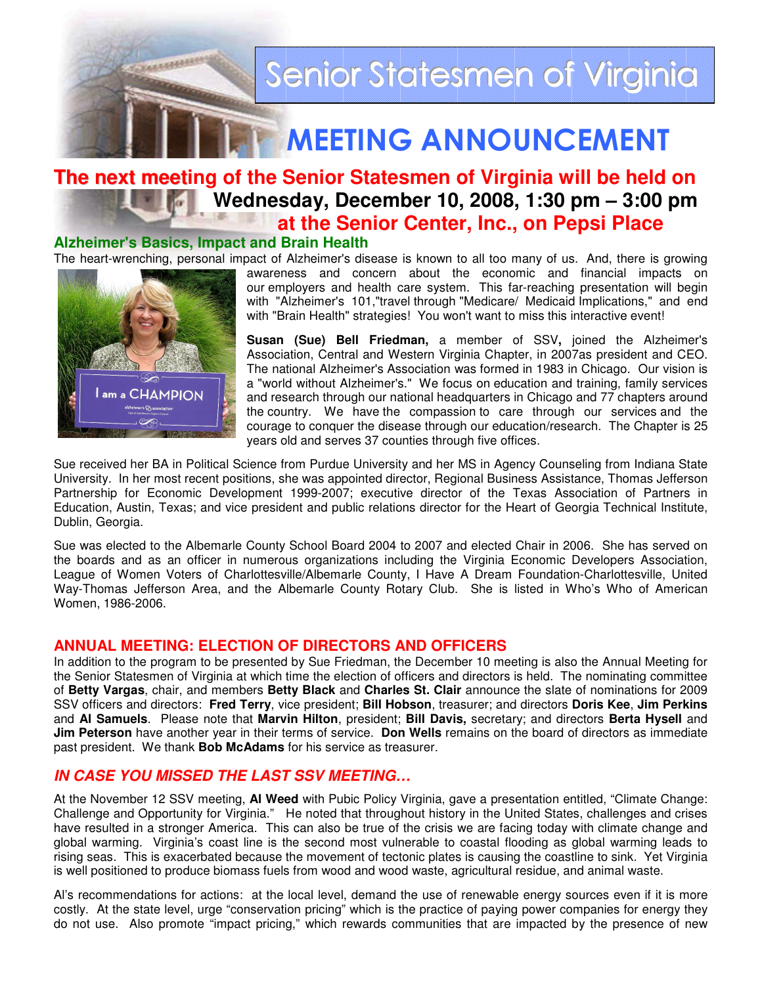

# MEETING ANNOUNCEMENT

# **The next meeting of the Senior Statesmen of Virginia will be held on** *Mai* **Wednesday, December 10, 2008, 1:30 pm – 3:00 pm at the Senior Center, Inc., on Pepsi Place**

#### **Alzheimer's Basics, Impact and Brain Health**

The heart-wrenching, personal impact of Alzheimer's disease is known to all too many of us. And, there is growing



awareness and concern about the economic and financial impacts on our employers and health care system. This far-reaching presentation will begin with "Alzheimer's 101,"travel through "Medicare/ Medicaid Implications," and end with "Brain Health" strategies! You won't want to miss this interactive event!

**Susan (Sue) Bell Friedman,** a member of SSV**,** joined the Alzheimer's Association, Central and Western Virginia Chapter, in 2007as president and CEO. The national Alzheimer's Association was formed in 1983 in Chicago. Our vision is a "world without Alzheimer's." We focus on education and training, family services and research through our national headquarters in Chicago and 77 chapters around the country. We have the compassion to care through our services and the courage to conquer the disease through our education/research. The Chapter is 25 years old and serves 37 counties through five offices.

Sue received her BA in Political Science from Purdue University and her MS in Agency Counseling from Indiana State University. In her most recent positions, she was appointed director, Regional Business Assistance, Thomas Jefferson Partnership for Economic Development 1999-2007; executive director of the Texas Association of Partners in Education, Austin, Texas; and vice president and public relations director for the Heart of Georgia Technical Institute, Dublin, Georgia.

Sue was elected to the Albemarle County School Board 2004 to 2007 and elected Chair in 2006. She has served on the boards and as an officer in numerous organizations including the Virginia Economic Developers Association, League of Women Voters of Charlottesville/Albemarle County, I Have A Dream Foundation-Charlottesville, United Way-Thomas Jefferson Area, and the Albemarle County Rotary Club. She is listed in Who's Who of American Women, 1986-2006.

#### **ANNUAL MEETING: ELECTION OF DIRECTORS AND OFFICERS**

In addition to the program to be presented by Sue Friedman, the December 10 meeting is also the Annual Meeting for the Senior Statesmen of Virginia at which time the election of officers and directors is held. The nominating committee of **Betty Vargas**, chair, and members **Betty Black** and **Charles St. Clair** announce the slate of nominations for 2009 SSV officers and directors: **Fred Terry**, vice president; **Bill Hobson**, treasurer; and directors **Doris Kee**, **Jim Perkins** and **Al Samuels**. Please note that **Marvin Hilton**, president; **Bill Davis,** secretary; and directors **Berta Hysell** and **Jim Peterson** have another year in their terms of service. **Don Wells** remains on the board of directors as immediate past president. We thank **Bob McAdams** for his service as treasurer.

## **IN CASE YOU MISSED THE LAST SSV MEETING…**

At the November 12 SSV meeting, **Al Weed** with Pubic Policy Virginia, gave a presentation entitled, "Climate Change: Challenge and Opportunity for Virginia." He noted that throughout history in the United States, challenges and crises have resulted in a stronger America. This can also be true of the crisis we are facing today with climate change and global warming. Virginia's coast line is the second most vulnerable to coastal flooding as global warming leads to rising seas. This is exacerbated because the movement of tectonic plates is causing the coastline to sink. Yet Virginia is well positioned to produce biomass fuels from wood and wood waste, agricultural residue, and animal waste.

Al's recommendations for actions: at the local level, demand the use of renewable energy sources even if it is more costly. At the state level, urge "conservation pricing" which is the practice of paying power companies for energy they do not use. Also promote "impact pricing," which rewards communities that are impacted by the presence of new